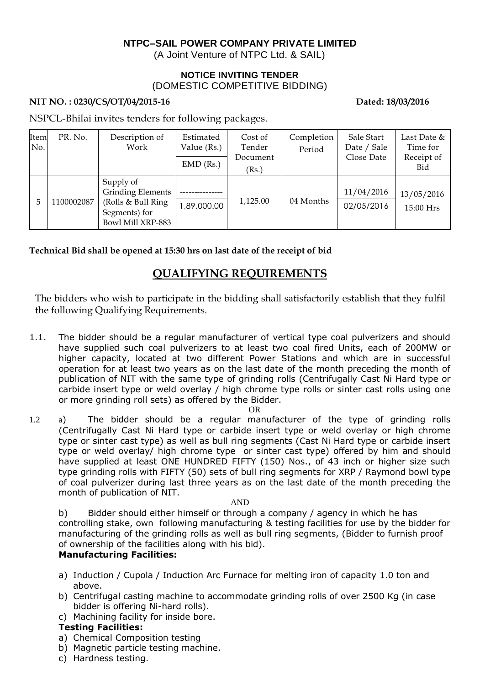## **NTPC–SAIL POWER COMPANY PRIVATE LIMITED**

(A Joint Venture of NTPC Ltd. & SAIL)

#### **NOTICE INVITING TENDER** (DOMESTIC COMPETITIVE BIDDING)

### NIT NO.: 0230/CS/OT/04/2015-16 Dated: 18/03/2016

NSPCL-Bhilai invites tenders for following packages.

| Item<br>No. | PR. No.   | Description of<br>Work                                                                             | Estimated<br>Value (Rs.)<br>$EMD$ (Rs.) | Cost of<br>Tender<br>Document<br>(Rs.) | Completion<br>Period | Sale Start<br>Date / Sale<br>Close Date | Last Date &<br>Time for<br>Receipt of<br>Bid |
|-------------|-----------|----------------------------------------------------------------------------------------------------|-----------------------------------------|----------------------------------------|----------------------|-----------------------------------------|----------------------------------------------|
| 5           | 100002087 | Supply of<br><b>Grinding Elements</b><br>(Rolls & Bull Ring)<br>Segments) for<br>Bowl Mill XRP-883 | 00.000,98,1                             | 1,125.00                               | 04 Months            | 11/04/2016<br>02/05/2016                | 13/05/2016<br>15:00 Hrs                      |

**Technical Bid shall be opened at 15:30 hrs on last date of the receipt of bid**

# **QUALIFYING REQUIREMENTS**

The bidders who wish to participate in the bidding shall satisfactorily establish that they fulfil the following Qualifying Requirements.

1.1. The bidder should be a regular manufacturer of vertical type coal pulverizers and should have supplied such coal pulverizers to at least two coal fired Units, each of 200MW or higher capacity, located at two different Power Stations and which are in successful operation for at least two years as on the last date of the month preceding the month of publication of NIT with the same type of grinding rolls (Centrifugally Cast Ni Hard type or carbide insert type or weld overlay / high chrome type rolls or sinter cast rolls using one or more grinding roll sets) as offered by the Bidder.

#### OR

1.2 a) The bidder should be a regular manufacturer of the type of grinding rolls (Centrifugally Cast Ni Hard type or carbide insert type or weld overlay or high chrome type or sinter cast type) as well as bull ring segments (Cast Ni Hard type or carbide insert type or weld overlay/ high chrome type or sinter cast type) offered by him and should have supplied at least ONE HUNDRED FIFTY (150) Nos., of 43 inch or higher size such type grinding rolls with FIFTY (50) sets of bull ring segments for XRP / Raymond bowl type of coal pulverizer during last three years as on the last date of the month preceding the month of publication of NIT.

#### AND

b) Bidder should either himself or through a company / agency in which he has controlling stake, own following manufacturing & testing facilities for use by the bidder for manufacturing of the grinding rolls as well as bull ring segments, (Bidder to furnish proof of ownership of the facilities along with his bid).

## **Manufacturing Facilities:**

- a) Induction / Cupola / Induction Arc Furnace for melting iron of capacity 1.0 ton and above.
- b) Centrifugal casting machine to accommodate grinding rolls of over 2500 Kg (in case bidder is offering Ni-hard rolls).
- c) Machining facility for inside bore.

## **Testing Facilities:**

- a) Chemical Composition testing
- b) Magnetic particle testing machine.
- c) Hardness testing.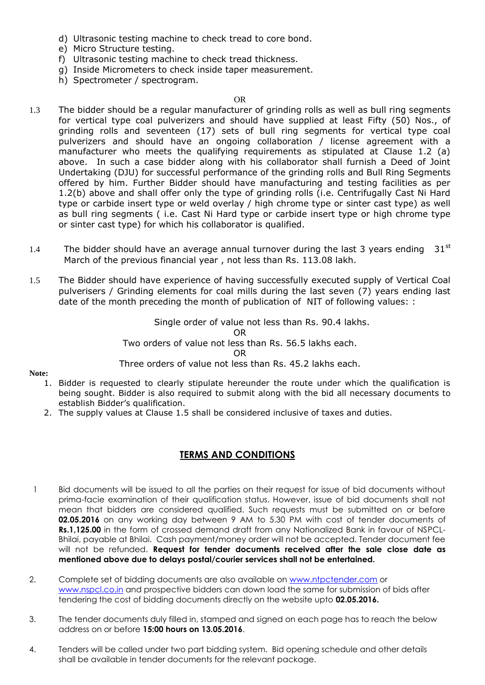- d) Ultrasonic testing machine to check tread to core bond.
- e) Micro Structure testing.
- f) Ultrasonic testing machine to check tread thickness.
- g) Inside Micrometers to check inside taper measurement.
- h) Spectrometer / spectrogram.

#### OR

- 1.3 The bidder should be a regular manufacturer of grinding rolls as well as bull ring segments for vertical type coal pulverizers and should have supplied at least Fifty (50) Nos., of grinding rolls and seventeen (17) sets of bull ring segments for vertical type coal pulverizers and should have an ongoing collaboration / license agreement with a manufacturer who meets the qualifying requirements as stipulated at Clause 1.2 (a) above. In such a case bidder along with his collaborator shall furnish a Deed of Joint Undertaking (DJU) for successful performance of the grinding rolls and Bull Ring Segments offered by him. Further Bidder should have manufacturing and testing facilities as per 1.2(b) above and shall offer only the type of grinding rolls (i.e. Centrifugally Cast Ni Hard type or carbide insert type or weld overlay / high chrome type or sinter cast type) as well as bull ring segments ( i.e. Cast Ni Hard type or carbide insert type or high chrome type or sinter cast type) for which his collaborator is qualified.
- 1.4 The bidder should have an average annual turnover during the last 3 years ending  $31^{st}$ March of the previous financial year , not less than Rs. 113.08 lakh.
- 1.5 The Bidder should have experience of having successfully executed supply of Vertical Coal pulverisers / Grinding elements for coal mills during the last seven (7) years ending last date of the month preceding the month of publication of NIT of following values: :

Single order of value not less than Rs. 90.4 lakhs. OR Two orders of value not less than Rs. 56.5 lakhs each. OR Three orders of value not less than Rs. 45.2 lakhs each.

**Note:** 

- 1. Bidder is requested to clearly stipulate hereunder the route under which the qualification is being sought. Bidder is also required to submit along with the bid all necessary documents to establish Bidder's qualification.
- 2. The supply values at Clause 1.5 shall be considered inclusive of taxes and duties.

## **TERMS AND CONDITIONS**

- 1 Bid documents will be issued to all the parties on their request for issue of bid documents without prima-facie examination of their qualification status. However, issue of bid documents shall not mean that bidders are considered qualified. Such requests must be submitted on or before **02.05.2016** on any working day between 9 AM to 5.30 PM with cost of tender documents of **Rs.1,125.00** in the form of crossed demand draft from any Nationalized Bank in favour of NSPCL-Bhilai, payable at Bhilai. Cash payment/money order will not be accepted. Tender document fee will not be refunded. **Request for tender documents received after the sale close date as mentioned above due to delays postal/courier services shall not be entertained.**
- 2. Complete set of bidding documents are also available on [www.ntpctender.com](http://www.ntpctender.com/) or [www.nspcl.co.in](http://www.nspcl.co.in/) and prospective bidders can down load the same for submission of bids after tendering the cost of bidding documents directly on the website upto **02.05.2016.**
- 3. The tender documents duly filled in, stamped and signed on each page has to reach the below address on or before **15:00 hours on 13.05.2016**.
- 4. Tenders will be called under two part bidding system. Bid opening schedule and other details shall be available in tender documents for the relevant package.